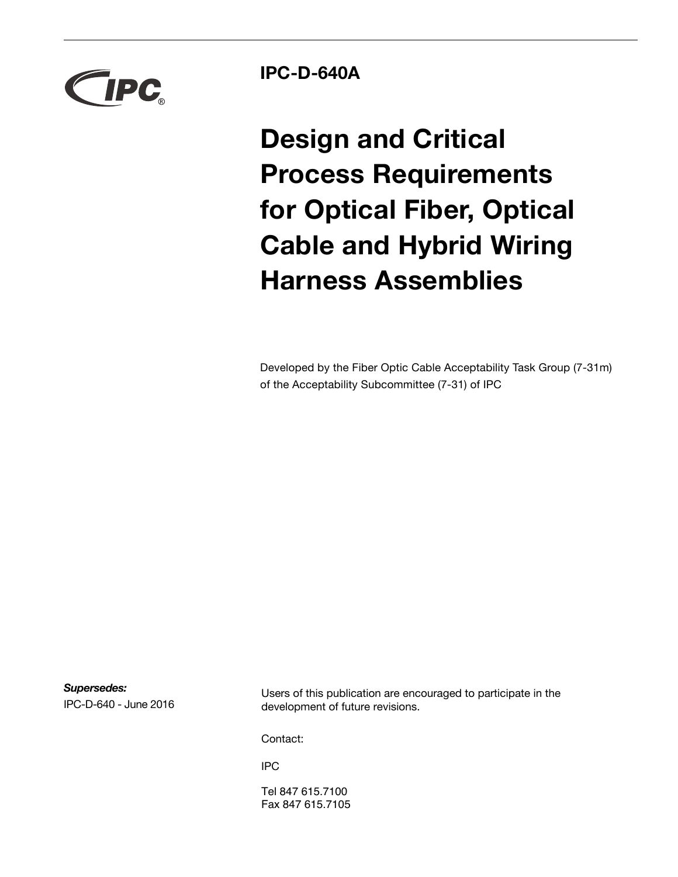

**IPC-D-640A**

**Design and Critical Process Requirements for Optical Fiber, Optical Cable and Hybrid Wiring Harness Assemblies**

Developed by the Fiber Optic Cable Acceptability Task Group (7-31m) of the Acceptability Subcommittee (7-31) of IPC

*Supersedes:* IPC-D-640 - June 2016

Users of this publication are encouraged to participate in the development of future revisions.

Contact:

IPC

Tel 847 615.7100 Fax 847 615.7105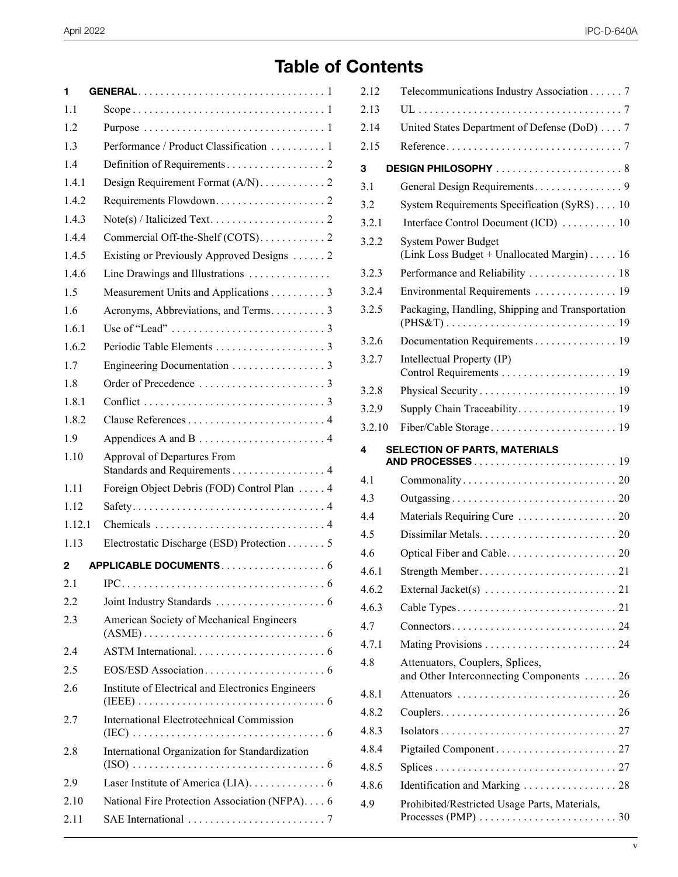# **Table of Contents**

| 1      |                                                                                      |
|--------|--------------------------------------------------------------------------------------|
| 1.1    |                                                                                      |
| 1.2    |                                                                                      |
| 1.3    | Performance / Product Classification  1                                              |
| 1.4    |                                                                                      |
| 1.4.1  | Design Requirement Format (A/N). 2                                                   |
| 1.4.2  |                                                                                      |
| 1.4.3  | $Note(s) / Italicized Text. \dots \dots \dots \dots \dots \dots \dots \dots$         |
| 1.4.4  | Commercial Off-the-Shelf (COTS). 2                                                   |
| 1.4.5  | Existing or Previously Approved Designs  2                                           |
| 1.4.6  | Line Drawings and Illustrations                                                      |
| 1.5    | Measurement Units and Applications 3                                                 |
| 1.6    |                                                                                      |
| 161    | Use of "Lead" $\dots\dots\dots\dots\dots\dots\dots\dots\dots3$                       |
| 1.6.2  |                                                                                      |
| 1.7    | Engineering Documentation 3                                                          |
| 1.8    |                                                                                      |
| 1.8.1  |                                                                                      |
| 1.8.2  |                                                                                      |
| 1.9    |                                                                                      |
| 1.10   | Approval of Departures From<br>Standards and Requirements 4                          |
| 1.11   | Foreign Object Debris (FOD) Control Plan 4                                           |
| 1.12   |                                                                                      |
| 1.12.1 |                                                                                      |
| 1 1 3  | Electrostatic Discharge (ESD) Protection 5                                           |
| 2      | APPLICABLE DOCUMENTS6                                                                |
| 2.1    | $IPC \ldots \ldots \ldots \ldots \ldots \ldots \ldots \ldots \ldots \ldots \ldots 6$ |
| 2.2    |                                                                                      |
| 2.3    | American Society of Mechanical Engineers                                             |
| 2.4    |                                                                                      |
| 2.5    |                                                                                      |
| 2.6    | Institute of Electrical and Electronics Engineers                                    |
| 2.7    | <b>International Electrotechnical Commission</b>                                     |
| 2.8    | International Organization for Standardization                                       |
| 2.9    | Laser Institute of America (LIA). 6                                                  |
| 2.10   | National Fire Protection Association (NFPA). 6                                       |
| 2.11   |                                                                                      |

| 2.12   | Telecommunications Industry Association 7                                                                                     |  |
|--------|-------------------------------------------------------------------------------------------------------------------------------|--|
| 2.13   |                                                                                                                               |  |
| 2.14   | United States Department of Defense (DoD) 7                                                                                   |  |
| 2.15   |                                                                                                                               |  |
| 3      | DESIGN PHILOSOPHY 8                                                                                                           |  |
| 3.1    |                                                                                                                               |  |
| 3.2    | System Requirements Specification (SyRS) 10                                                                                   |  |
| 3.2.1  | Interface Control Document (ICD)  10                                                                                          |  |
| 3.2.2  | <b>System Power Budget</b><br>(Link Loss Budget + Unallocated Margin) 16                                                      |  |
| 3.2.3  | Performance and Reliability  18                                                                                               |  |
| 3.2.4  | Environmental Requirements 19                                                                                                 |  |
| 3.2.5  | Packaging, Handling, Shipping and Transportation                                                                              |  |
| 3.2.6  | Documentation Requirements 19                                                                                                 |  |
| 3.2.7  | Intellectual Property (IP)                                                                                                    |  |
| 3.2.8  |                                                                                                                               |  |
| 3.2.9  |                                                                                                                               |  |
| 3.2.10 |                                                                                                                               |  |
| 4      | SELECTION OF PARTS, MATERIALS                                                                                                 |  |
| 4.1    |                                                                                                                               |  |
| 4.3    |                                                                                                                               |  |
| 4.4    |                                                                                                                               |  |
| 4.5    |                                                                                                                               |  |
| 4.6    |                                                                                                                               |  |
| 4.6.1  |                                                                                                                               |  |
| 4.6.2  |                                                                                                                               |  |
| 4.6.3  |                                                                                                                               |  |
| 4.7    |                                                                                                                               |  |
| 4.7.1  |                                                                                                                               |  |
| 4.8    | Attenuators, Couplers, Splices,<br>and Other Interconnecting Components  26                                                   |  |
| 4.8.1  |                                                                                                                               |  |
| 482    |                                                                                                                               |  |
| 4.8.3  |                                                                                                                               |  |
| 4.8.4  |                                                                                                                               |  |
| 4.8.5  |                                                                                                                               |  |
| 4.8.6  | Identification and Marking 28                                                                                                 |  |
| 4.9    | Prohibited/Restricted Usage Parts, Materials,<br>Processes (PMP) $\ldots \ldots \ldots \ldots \ldots \ldots \ldots \ldots 30$ |  |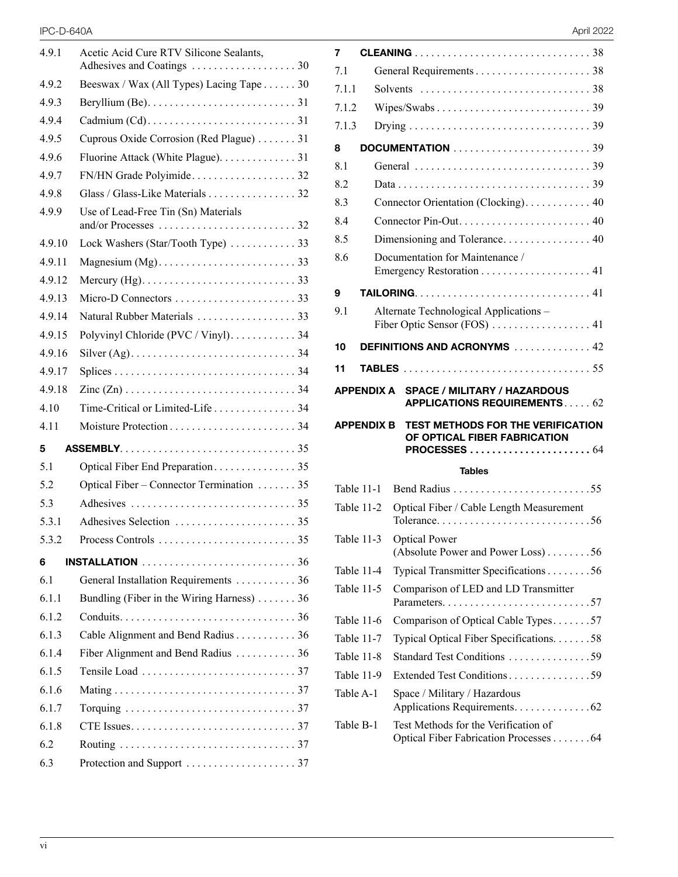#### IPC-D-640A April 2022

| 4.9.1  | Acetic Acid Cure RTV Silicone Sealants,   |
|--------|-------------------------------------------|
| 4.9.2  | Beeswax / Wax (All Types) Lacing Tape 30  |
| 4.9.3  |                                           |
| 4.9.4  |                                           |
| 4.9.5  | Cuprous Oxide Corrosion (Red Plague) 31   |
| 4.9.6  | Fluorine Attack (White Plague). 31        |
| 4.9.7  |                                           |
| 4.9.8  | Glass / Glass-Like Materials 32           |
| 4.9.9  | Use of Lead-Free Tin (Sn) Materials       |
| 4.9.10 | Lock Washers (Star/Tooth Type)  33        |
| 4.9.11 |                                           |
| 4.9.12 |                                           |
| 4.9.13 |                                           |
| 4.9.14 |                                           |
| 4.9.15 | Polyvinyl Chloride (PVC / Vinyl). 34      |
| 4.9.16 |                                           |
| 4.9.17 |                                           |
| 4.9.18 |                                           |
| 4.10   | Time-Critical or Limited-Life 34          |
|        |                                           |
| 4.11   |                                           |
| 5      |                                           |
| 5.1    |                                           |
| 5.2    | Optical Fiber – Connector Termination  35 |
| 5.3    |                                           |
| 5.3.1  |                                           |
| 5.3.2  |                                           |
| 6      |                                           |
| 6.1    | General Installation Requirements 36      |
| 6.1.1  | Bundling (Fiber in the Wiring Harness) 36 |
| 6.1.2  |                                           |
| 6.1.3  | Cable Alignment and Bend Radius 36        |
| 6.1.4  | Fiber Alignment and Bend Radius 36        |
| 6.1.5  |                                           |
| 6.1.6  |                                           |
| 6.1.7  |                                           |
| 6.1.8  |                                           |
| 6.2    |                                           |

| 7                 |                                                                                          |  |  |
|-------------------|------------------------------------------------------------------------------------------|--|--|
| 71                |                                                                                          |  |  |
| 7.1.1             |                                                                                          |  |  |
| 7.1.2             |                                                                                          |  |  |
| 7.1.3             |                                                                                          |  |  |
| 8                 |                                                                                          |  |  |
| 8.1               |                                                                                          |  |  |
| 8.2               |                                                                                          |  |  |
| 8.3               | Connector Orientation (Clocking). 40                                                     |  |  |
| 8.4               |                                                                                          |  |  |
| 8.5               |                                                                                          |  |  |
| 8.6               | Documentation for Maintenance /                                                          |  |  |
|                   |                                                                                          |  |  |
| 9                 |                                                                                          |  |  |
| 9.1               | Alternate Technological Applications -                                                   |  |  |
|                   | Fiber Optic Sensor (FOS)  41                                                             |  |  |
| 10                | DEFINITIONS AND ACRONYMS  42                                                             |  |  |
| 11                |                                                                                          |  |  |
|                   | APPENDIX A<br><b>SPACE / MILITARY / HAZARDOUS</b><br><b>APPLICATIONS REQUIREMENTS 62</b> |  |  |
| <b>APPENDIX B</b> | TEST METHODS FOR THE VERIFICATION<br>OF OPTICAL FIBER FABRICATION                        |  |  |
|                   | PROCESSES  64                                                                            |  |  |
|                   | <b>Tables</b>                                                                            |  |  |
| Table 11-1        |                                                                                          |  |  |
| Table 11-2        | Optical Fiber / Cable Length Measurement                                                 |  |  |
| Table 11-3        | <b>Optical Power</b>                                                                     |  |  |
|                   | (Absolute Power and Power Loss)56                                                        |  |  |
| Table 11-4        | Typical Transmitter Specifications 56                                                    |  |  |
| Table 11-5        | Comparison of LED and LD Transmitter                                                     |  |  |
| Table 11-6        | Comparison of Optical Cable Types57                                                      |  |  |
| Table 11-7        | Typical Optical Fiber Specifications. 58                                                 |  |  |
| Table 11-8        | Standard Test Conditions 59                                                              |  |  |
| Table 11-9        | Extended Test Conditions 59                                                              |  |  |
| Table A-1         | Space / Military / Hazardous<br>Applications Requirements. 62                            |  |  |
| Table B-1         | Test Methods for the Verification of<br>Optical Fiber Fabrication Processes 64           |  |  |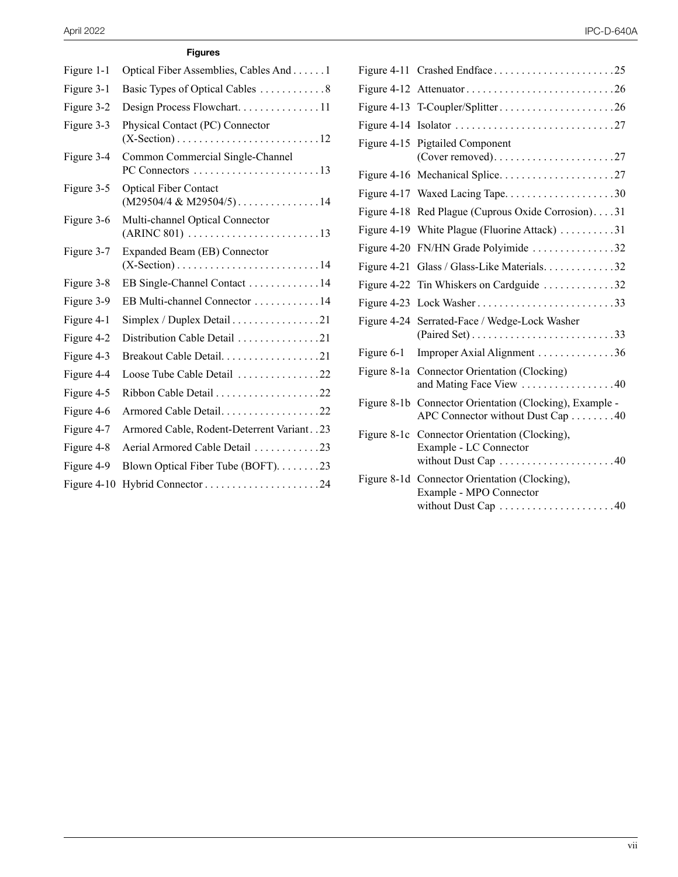#### **Figures**

| Figure 1-1  | Optical Fiber Assemblies, Cables And 1                      |
|-------------|-------------------------------------------------------------|
| Figure 3-1  | Basic Types of Optical Cables 8                             |
| Figure 3-2  | Design Process Flowchart11                                  |
| Figure 3-3  | Physical Contact (PC) Connector                             |
| Figure 3-4  | Common Commercial Single-Channel                            |
| Figure 3-5  | <b>Optical Fiber Contact</b><br>$(M29504/4 \& M29504/5)$ 14 |
| Figure 3-6  | Multi-channel Optical Connector                             |
| Figure 3-7  | Expanded Beam (EB) Connector                                |
| Figure 3-8  | EB Single-Channel Contact 14                                |
| Figure 3-9  | EB Multi-channel Connector 14                               |
| Figure 4-1  | Simplex / Duplex Detail 21                                  |
| Figure 4-2  | Distribution Cable Detail 21                                |
| Figure 4-3  | Breakout Cable Detail. 21                                   |
| Figure 4-4  | Loose Tube Cable Detail 22                                  |
| Figure 4-5  |                                                             |
| Figure 4-6  | Armored Cable Detail. 22                                    |
| Figure 4-7  | Armored Cable, Rodent-Deterrent Variant. . 23               |
| Figure 4-8  | Aerial Armored Cable Detail 23                              |
| Figure 4-9  | Blown Optical Fiber Tube (BOFT). 23                         |
| Figure 4-10 |                                                             |

|             | Figure 4-13 T-Coupler/Splitter26                                                               |  |
|-------------|------------------------------------------------------------------------------------------------|--|
|             |                                                                                                |  |
|             | Figure 4-15 Pigtailed Component                                                                |  |
|             |                                                                                                |  |
|             | Figure 4-17 Waxed Lacing Tape30                                                                |  |
|             | Figure 4-18 Red Plague (Cuprous Oxide Corrosion)31                                             |  |
|             | Figure 4-19 White Plague (Fluorine Attack) 31                                                  |  |
|             | Figure 4-20 FN/HN Grade Polyimide 32                                                           |  |
|             | Figure 4-21 Glass / Glass-Like Materials32                                                     |  |
|             | Figure 4-22 Tin Whiskers on Cardguide 32                                                       |  |
|             |                                                                                                |  |
|             | Figure 4-24 Serrated-Face / Wedge-Lock Washer                                                  |  |
| Figure 6-1  | Improper Axial Alignment 36                                                                    |  |
| Figure 8-1a | Connector Orientation (Clocking)<br>and Mating Face View 40                                    |  |
|             | Figure 8-1b Connector Orientation (Clocking), Example -<br>APC Connector without Dust Cap 40   |  |
|             | Figure 8-1c Connector Orientation (Clocking),<br>Example - LC Connector<br>without Dust Cap 40 |  |
|             | Figure 8-1d Connector Orientation (Clocking),<br>Example - MPO Connector                       |  |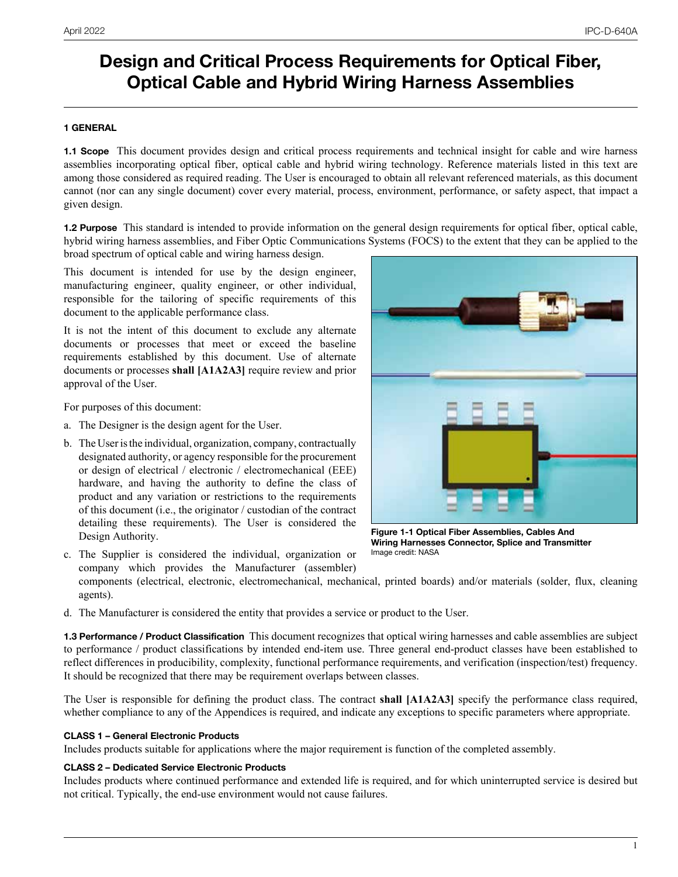# **Design and Critical Process Requirements for Optical Fiber, Optical Cable and Hybrid Wiring Harness Assemblies**

#### **1 GENERAL**

**1.1 Scope** This document provides design and critical process requirements and technical insight for cable and wire harness assemblies incorporating optical fiber, optical cable and hybrid wiring technology. Reference materials listed in this text are among those considered as required reading. The User is encouraged to obtain all relevant referenced materials, as this document cannot (nor can any single document) cover every material, process, environment, performance, or safety aspect, that impact a given design.

**1.2 Purpose** This standard is intended to provide information on the general design requirements for optical fiber, optical cable, hybrid wiring harness assemblies, and Fiber Optic Communications Systems (FOCS) to the extent that they can be applied to the broad spectrum of optical cable and wiring harness design.

This document is intended for use by the design engineer, manufacturing engineer, quality engineer, or other individual, responsible for the tailoring of specific requirements of this document to the applicable performance class.

It is not the intent of this document to exclude any alternate documents or processes that meet or exceed the baseline requirements established by this document. Use of alternate documents or processes **shall [A1A2A3]** require review and prior approval of the User.

For purposes of this document:

- a. The Designer is the design agent for the User.
- b. The User is the individual, organization, company, contractually designated authority, or agency responsible for the procurement or design of electrical / electronic / electromechanical (EEE) hardware, and having the authority to define the class of product and any variation or restrictions to the requirements of this document (i.e., the originator / custodian of the contract detailing these requirements). The User is considered the Design Authority.



**Figure 1-1 Optical Fiber Assemblies, Cables And Wiring Harnesses Connector, Splice and Transmitter** Image credit: NASA

- c. The Supplier is considered the individual, organization or company which provides the Manufacturer (assembler)
	- components (electrical, electronic, electromechanical, mechanical, printed boards) and/or materials (solder, flux, cleaning agents).
- d. The Manufacturer is considered the entity that provides a service or product to the User.

**1.3 Performance / Product Classification** This document recognizes that optical wiring harnesses and cable assemblies are subject to performance / product classifications by intended end-item use. Three general end-product classes have been established to reflect differences in producibility, complexity, functional performance requirements, and verification (inspection/test) frequency. It should be recognized that there may be requirement overlaps between classes.

The User is responsible for defining the product class. The contract **shall [A1A2A3]** specify the performance class required, whether compliance to any of the Appendices is required, and indicate any exceptions to specific parameters where appropriate.

#### **CLASS 1 – General Electronic Products**

Includes products suitable for applications where the major requirement is function of the completed assembly.

#### **CLASS 2 – Dedicated Service Electronic Products**

Includes products where continued performance and extended life is required, and for which uninterrupted service is desired but not critical. Typically, the end-use environment would not cause failures.